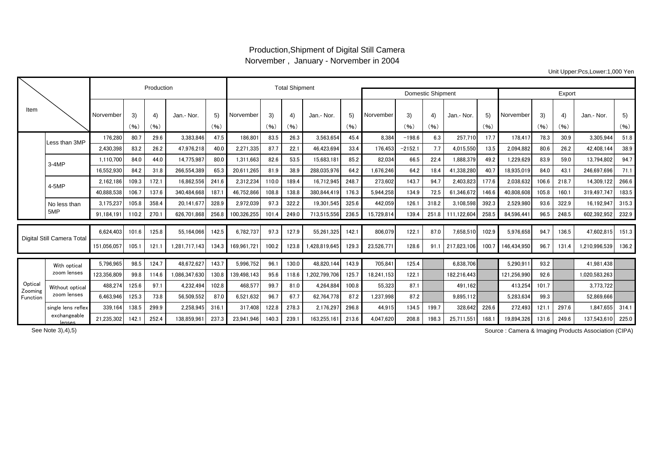## Production,Shipment of Digital Still Camera Norvember , January - Norvember in 2004

Unit Upper:Pcs,Lower:1,000 Yen

|                                |                             |             | Production |            | <b>Total Shipment</b> |            |             |                          |            |              |            |            |            |            |             |            |             |            |            |               |            |
|--------------------------------|-----------------------------|-------------|------------|------------|-----------------------|------------|-------------|--------------------------|------------|--------------|------------|------------|------------|------------|-------------|------------|-------------|------------|------------|---------------|------------|
|                                |                             |             |            |            |                       |            |             | <b>Domestic Shipment</b> | Export     |              |            |            |            |            |             |            |             |            |            |               |            |
| Item                           |                             | Norvember   | 3)<br>(96) | 4)<br>(96) | Jan.- Nor.            | 5)<br>(96) | Norvember   | 3)<br>(96)               | 4)<br>(96) | Jan.- Nor.   | 5)<br>(96) | Norvember  | 3)<br>(96) | 4)<br>(96) | Jan.- Nor.  | 5)<br>(96) | Norvember   | 3)<br>(96) | 4)<br>(96) | Jan.- Nor.    | 5)<br>(96) |
|                                |                             |             |            |            |                       |            |             |                          |            |              |            |            |            |            |             |            |             |            |            |               |            |
|                                | Less than 3MP               | 176.280     | 80.7       | 29.6       | 3,383,846             | 47.5       | 186,80      | 83.5                     | 26.3       | 3,563,654    | 45.4       | 8.384      | $-198.6$   | 6.3        | 257,710     | 17.7       | 178.41      | 78.3       | 30.9       | 3.305.944     | 51.8       |
|                                |                             | 2.430.398   | 83.2       | 26.2       | 47.976.218            | 40.0       | 2,271,335   | 87.7                     | 22.1       | 46.423.694   | 33.4       | 176.453    | $-2152.1$  | 7.7        | 4.015.550   | 13.5       | 2.094.882   | 80.6       | 26.2       | 42.408.144    | 38.9       |
|                                | $3-4MP$                     | 1,110,700   | 84.0       | 44.0       | 14,775,987            | 80.0       | 1,311,663   | 82.6                     | 53.5       | 15,683,181   | 85.2       | 82,034     | 66.5       | 22.4       | 1,888,379   | 49.2       | 1,229,629   | 83.9       | 59.0       | 13,794,802    | 94.7       |
|                                |                             | 16,552,930  | 84.2       | 31.8       | 266.554.389           | 65.3       | 20,611,265  | 81.9                     | 38.9       | 288.035.976  | 64.2       | 1,676,246  | 64.2       | 18.4       | 41,338,280  | 40.7       | 18.935.019  | 84.0       | 43.1       | 246.697.696   | 71.1       |
|                                | 4-5MP                       | 2.162.186   | 109.3      | 172.1      | 16,862,556            | 241.6      | 2,312,234   | 110.0                    | 189.4      | 16.712.945   | 248.7      | 273.602    | 143.7      | 94.7       | 2,403,823   | 177.6      | 2.038.632   | 106.6      | 218.7      | 14.309.122    | 266.6      |
|                                |                             | 40,888,538  | 106.7      | 137.6      | 340,484,668           | 187.1      | 46,752,866  | 108.8                    | 138.8      | 380,844,419  | 176.3      | 5,944,258  | 134.9      | 72.5       | 61,346,672  | 146.6      | 40,808,608  | 105.8      | 160.1      | 319.497.747   | 183.5      |
|                                | No less than<br>5MP         | 3,175,237   | 105.8      | 358.4      | 20.141.67             | 328.9      | 2,972,039   | 97.3                     | 322.2      | 19,301,545   | 325.6      | 442,059    | 126.1      | 318.2      | 3,108,598   | 392.3      | 2,529,980   | 93.6       | 322.9      | 16,192,947    | 315.3      |
|                                |                             | 91.184.19   | 110.2      | 270.1      | 626.701.868           | 256.8      | 100.326.255 | 101.4                    | 249.0      | 713,515,556  | 236.5      | 15.729.814 | 139.4      | 251.8      | 111.122.604 | 258.5      | 84.596.44   | 96.5       | 248.5      | 602.392.952   | 232.9      |
| Digital Still Camera Total     |                             |             |            |            |                       |            |             |                          |            |              |            |            |            |            |             |            |             |            |            |               |            |
|                                |                             | 6.624.403   | 101.6      | 125.8      | 55.164.066            | 142.5      | 6,782,737   | 97.3                     | 127.9      | 55.261.325   | 142.1      | 806,079    | 122.1      | 87.0       | 7,658,510   | 102.9      | 5.976.658   | 94.7       | 136.5      | 47.602.815    | 151.3      |
|                                |                             | 151.056.057 | 105.1      | 121.       | 1.281.717.143         | 134.3      | 169.961.721 | 100.2                    | 123.8      | 428.819.645  | 129.3      | 23.526.771 | 128.6      | 91.1       | 217.823.106 | 100.7      | 146.434.950 | 96.7       | 131.4      | 1.210.996.539 | 136.2      |
| Optical<br>Zooming<br>Function | With optical<br>zoom lenses | 5,796,965   | 98.5       | 124.7      | 48.672.627            | 143.7      | 5.996.752   | 96.1                     | 130.0      | 48.820.144   | 143.9      | 705.841    | 125.4      |            | 6,838,706   |            | 5.290.91    | 93.2       |            | 41.981.438    |            |
|                                |                             | 123,356,809 | 99.8       | 114.6      | 1,086,347,630         | 130.8      | 139.498.143 | 95.6                     | 118.6      | ,202,799,706 | 125.7      | 18,241,153 | 122.1      |            | 182.216.443 |            | 121.256.990 | 92.6       |            | 1,020,583,263 |            |
|                                | Without optical             | 488,274     | 125.6      | 97.1       | 4,232,494             | 102.8      | 468,577     | 99.7                     | 81.0       | 4,264,884    | 100.8      | 55,323     | 87.1       |            | 491.162     |            | 413,254     | 101.7      |            | 3,773,722     |            |
|                                | zoom lenses                 | 6.463.946   | 125.3      | 73.8       | 56.509.552            | 87.0       | 6,521,632   | 96.7                     | 67.7       | 62.764.778   | 87.2       | 1.237.998  | 87.2       |            | 9.895.112   |            | 5.283.634   | 99.3       |            | 52.869.666    |            |
|                                | single lens reflex          | 339.164     | 138.5      | 299.9      | 2,258,945             | 316.1      | 317.408     | 122.8                    | 278.3      | 2.176.297    | 296.8      | 44.915     | 134.5      | 199.7      | 328.642     | 226.6      | 272.493     | 121.1      | 297.6      | 1.847.655     | 314.1      |
|                                | exchangeable<br>lenses      | 21,235,302  | 142.1      | 252.4      | 138,859,96            | 237.3      | 23,941,946  | 140.3                    | 239.       | 163,255,161  | 213.6      | 4,047,620  | 208.8      | 198.3      | 25,711,551  | 168.1      | 19,894,326  | 131.6      | 249.6      | 137,543,610   | 225.0      |

See Note 3),4),5)

Source : Camera & Imaging Products Association (CIPA)